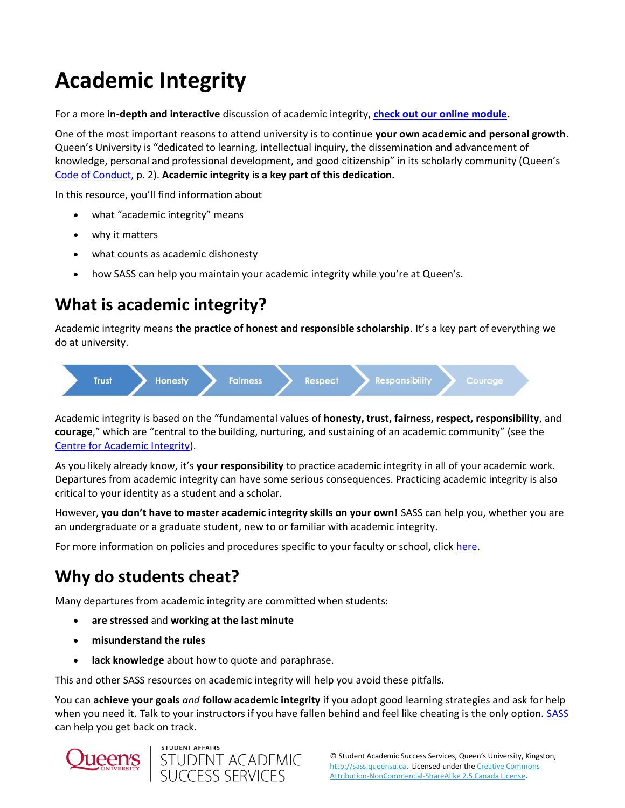# **Academic Integrity**

For a more **in-depth and interactive** discussion of academic integrity, **[check out our online module.](https://sass.queensu.ca/courses/academic-integrity/#/)**

One of the most important reasons to attend university is to continue **your own academic and personal growth**. Queen's University is "dedicated to learning, intellectual inquiry, the dissemination and advancement of knowledge, personal and professional development, and good citizenship" in its scholarly community (Queen's [Code of Conduct,](https://www.queensu.ca/secretariat/sites/uslcwww/files/uploaded_files/policies/board/StudentCodeOfConduct.pdf) p. 2). **Academic integrity is a key part of this dedication.**

In this resource, you'll find information about

- what "academic integrity" means
- why it matters
- what counts as academic dishonesty
- how SASS can help you maintain your academic integrity while you're at Queen's.

## **What is academic integrity?**

Academic integrity means **the practice of honest and responsible scholarship**. It's a key part of everything we do at university.



Academic integrity is based on the "fundamental values of **honesty, trust, fairness, respect, responsibility**, and **courage**," which are "central to the building, nurturing, and sustaining of an academic community" (see the [Centre for Academic Integrity\)](http://www.academicintegrity.org/).

As you likely already know, it's **your responsibility** to practice academic integrity in all of your academic work. Departures from academic integrity can have some serious consequences. Practicing academic integrity is also critical to your identity as a student and a scholar.

However, **you don't have to master academic integrity skills on your own!** SASS can help you, whether you are an undergraduate or a graduate student, new to or familiar with academic integrity.

For more information on policies and procedures specific to your faculty or school, click [here.](https://www.queensu.ca/academicintegrity/)

## **Why do students cheat?**

Many departures from academic integrity are committed when students:

- **are stressed** and **working at the last minute**
- **misunderstand the rules**
- lack knowledge about how to quote and paraphrase.

This and other SASS resources on academic integrity will help you avoid these pitfalls.

You can **achieve your goals** *and* **follow academic integrity** if you adopt good learning strategies and ask for help when you need it. Talk to your instructors if you have fallen behind and feel like cheating is the only option. [SASS](https://sass.queensu.ca/) can help you get back on track.



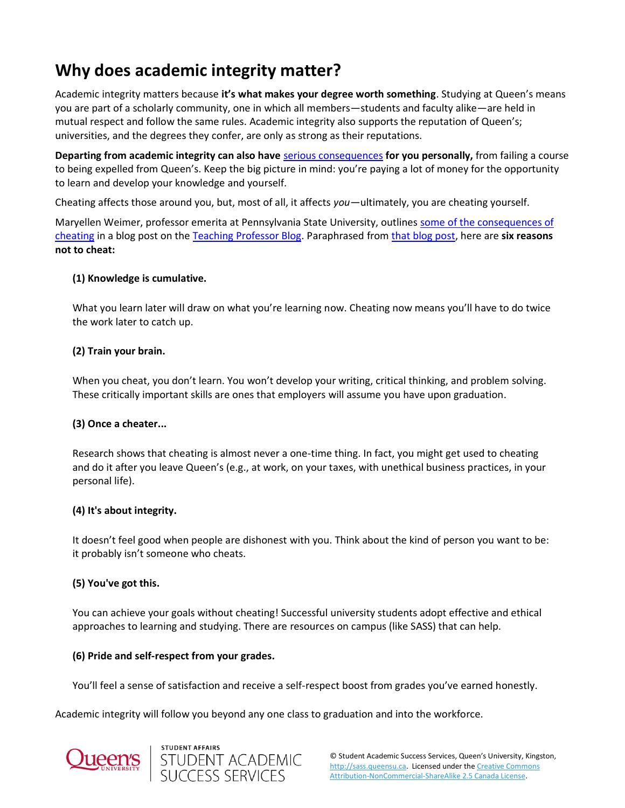## **Why does academic integrity matter?**

Academic integrity matters because **it's what makes your degree worth something**. Studying at Queen's means you are part of a scholarly community, one in which all members—students and faculty alike—are held in mutual respect and follow the same rules. Academic integrity also supports the reputation of Queen's; universities, and the degrees they confer, are only as strong as their reputations.

**Departing from academic integrity can also have** [serious consequences](http://www.queensu.ca/academicintegrity/students/being-charged-ai-offense) **for you personally,** from failing a course to being expelled from Queen's. Keep the big picture in mind: you're paying a lot of money for the opportunity to learn and develop your knowledge and yourself.

Cheating affects those around you, but, most of all, it affects *you—*ultimately, you are cheating yourself.

Maryellen Weimer, professor emerita at Pennsylvania State University, outlines [some of the consequences of](https://www.teachingprofessor.com/memos-to-students/memo-students-cheating/)  [cheating](https://www.teachingprofessor.com/memos-to-students/memo-students-cheating/) in a blog post on th[e Teaching Professor Blog.](https://www.teachingprofessor.com/) Paraphrased from [that blog post,](https://www.facultyfocus.com/articles/teaching-professor-blog/memo-students-cheating/) here are **six reasons not to cheat:**

### **(1) Knowledge is cumulative.**

What you learn later will draw on what you're learning now. Cheating now means you'll have to do twice the work later to catch up.

### **(2) Train your brain.**

When you cheat, you don't learn. You won't develop your writing, critical thinking, and problem solving. These critically important skills are ones that employers will assume you have upon graduation.

### **(3) Once a cheater...**

Research shows that cheating is almost never a one-time thing. In fact, you might get used to cheating and do it after you leave Queen's (e.g., at work, on your taxes, with unethical business practices, in your personal life).

### **(4) It's about integrity.**

It doesn't feel good when people are dishonest with you. Think about the kind of person you want to be: it probably isn't someone who cheats.

### **(5) You've got this.**

You can achieve your goals without cheating! Successful university students adopt effective and ethical approaches to learning and studying. There are resources on campus (like SASS) that can help.

### **(6) Pride and self-respect from your grades.**

You'll feel a sense of satisfaction and receive a self-respect boost from grades you've earned honestly.

Academic integrity will follow you beyond any one class to graduation and into the workforce.



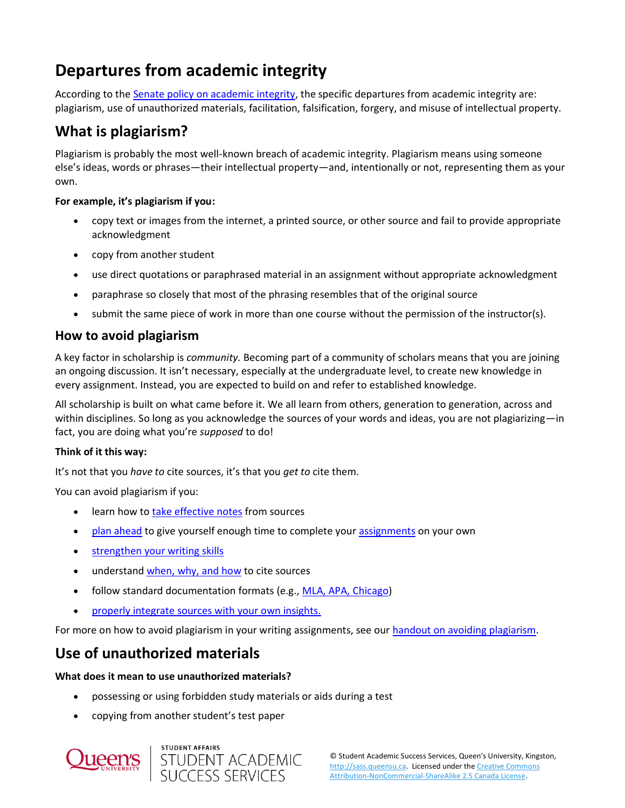## **Departures from academic integrity**

According to the [Senate policy on academic integrity,](http://www.queensu.ca/academicintegrity/sites/webpublish.queensu.ca.aiwww/files/files/AI%40Queens/Academic%20Integrity%20Procedures_Requirements%20of%20Faculties%20and%20Schools.pdf) the specific departures from academic integrity are: plagiarism, use of unauthorized materials, facilitation, falsification, forgery, and misuse of intellectual property.

## **What is plagiarism?**

Plagiarism is probably the most well-known breach of academic integrity. Plagiarism means using someone else's ideas, words or phrases—their intellectual property—and, intentionally or not, representing them as your own.

### **For example, it's plagiarism if you:**

- copy text or images from the internet, a printed source, or other source and fail to provide appropriate acknowledgment
- copy from another student
- use direct quotations or paraphrased material in an assignment without appropriate acknowledgment
- paraphrase so closely that most of the phrasing resembles that of the original source
- submit the same piece of work in more than one course without the permission of the instructor(s).

### **How to avoid plagiarism**

A key factor in scholarship is *community.* Becoming part of a community of scholars means that you are joining an ongoing discussion. It isn't necessary, especially at the undergraduate level, to create new knowledge in every assignment. Instead, you are expected to build on and refer to established knowledge.

All scholarship is built on what came before it. We all learn from others, generation to generation, across and within disciplines. So long as you acknowledge the sources of your words and ideas, you are not plagiarizing—in fact, you are doing what you're *supposed* to do!

### **Think of it this way:**

It's not that you *have to* cite sources, it's that you *get to* cite them.

You can avoid plagiarism if you:

- learn how to [take effective notes](https://sass.queensu.ca/taking-notes/) from sources
- [plan ahead](http://sass.queensu.ca/time-management/) to give yourself enough time to complete your [assignments](https://sass.queensu.ca/assignment-planner/) on your own
- [strengthen your writing skills](https://sass.queensu.ca/programs/appointments/)
- understand [when, why, and how](https://sass.queensu.ca/onlineresource/topics/avoiding-plagiarism/) to cite sources
- follow standard documentation formats (e.g., [MLA, APA, Chicago\)](https://library.queensu.ca/help-services/citing-sources)
- [properly integrate sources with your own insights.](https://sass.queensu.ca/onlineresource/topics/integrating-sources/)

For more on how to avoid plagiarism in your writing assignments, see ou[r handout on avoiding plagiarism.](http://sass.queensu.ca/onlineresource/topics/avoiding-plagiarism/)

### **Use of unauthorized materials**

### **What does it mean to use unauthorized materials?**

- possessing or using forbidden study materials or aids during a test
- copying from another student's test paper



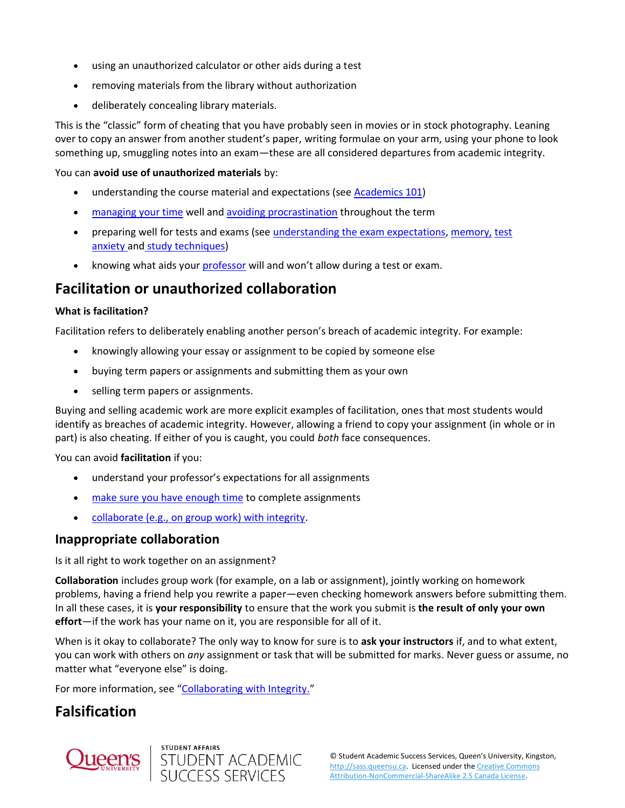- using an unauthorized calculator or other aids during a test
- removing materials from the library without authorization
- deliberately concealing library materials.

This is the "classic" form of cheating that you have probably seen in movies or in stock photography. Leaning over to copy an answer from another student's paper, writing formulae on your arm, using your phone to look something up, smuggling notes into an exam—these are all considered departures from academic integrity.

You can **avoid use of unauthorized materials** by:

- understanding the course material and expectations (see [Academics 101\)](https://sass.queensu.ca/courses/academics-101/#/)
- [managing your time](https://sass.queensu.ca/time-management/) well and [avoiding procrastination](http://sass.queensu.ca/procrastination/) throughout the term
- preparing well for tests and exams (see [understanding the exam expectations,](https://sass.queensu.ca/exams/) [memory,](https://sass.queensu.ca/memory/) [test](https://sass.queensu.ca/test-anxiety/)  [anxiety](https://sass.queensu.ca/test-anxiety/) and [study techniques\)](https://sass.queensu.ca/exams/#plan)
- knowing what aids you[r professor](https://sass.queensu.ca/communicating-with-profs/) will and won't allow during a test or exam.

### **Facilitation or unauthorized collaboration**

#### **What is facilitation?**

Facilitation refers to deliberately enabling another person's breach of academic integrity. For example:

- knowingly allowing your essay or assignment to be copied by someone else
- buying term papers or assignments and submitting them as your own
- selling term papers or assignments.

Buying and selling academic work are more explicit examples of facilitation, ones that most students would identify as breaches of academic integrity. However, allowing a friend to copy your assignment (in whole or in part) is also cheating. If either of you is caught, you could *both* face consequences.

You can avoid **facilitation** if you:

- understand your professor's expectations for all assignments
- [make sure you have enough time](https://sass.queensu.ca/time-management/#tools) to complete assignments
- [collaborate \(e.g., on group work\) with integrity.](http://www.queensu.ca/academicintegrity/students/avoiding-plagiarismcheating/collaborate-integrity)

### **Inappropriate collaboration**

Is it all right to work together on an assignment?

**Collaboration** includes group work (for example, on a lab or assignment), jointly working on homework problems, having a friend help you rewrite a paper—even checking homework answers before submitting them. In all these cases, it is **your responsibility** to ensure that the work you submit is **the result of only your own effort**—if the work has your name on it, you are responsible for all of it.

When is it okay to collaborate? The only way to know for sure is to **ask your instructors** if, and to what extent, you can work with others on *any* assignment or task that will be submitted for marks. Never guess or assume, no matter what "everyone else" is doing.

For more information, see "[Collaborating with Integrity.](http://www.queensu.ca/academicintegrity/students/avoiding-plagiarismcheating/collaborate-integrity)"

### **Falsification**



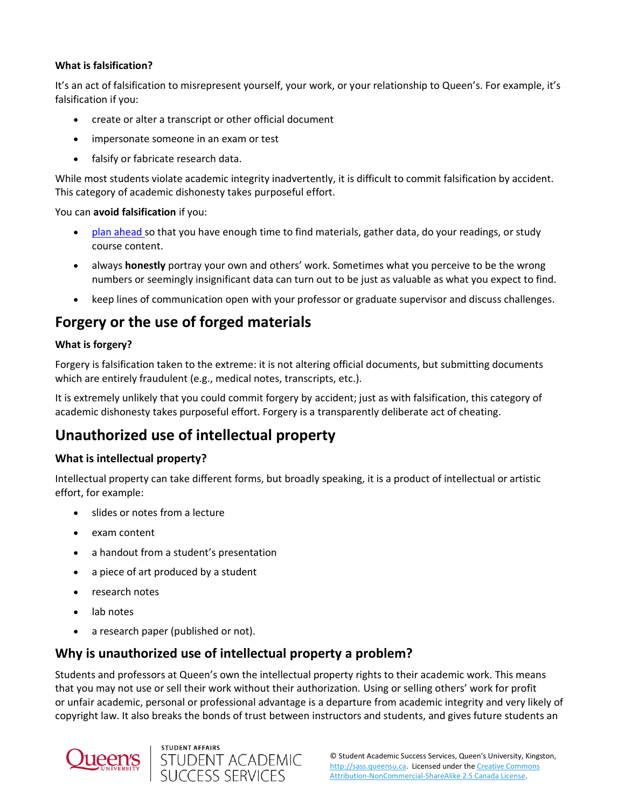### **What is falsification?**

It's an act of falsification to misrepresent yourself, your work, or your relationship to Queen's. For example, it's falsification if you:

- create or alter a transcript or other official document
- impersonate someone in an exam or test
- falsify or fabricate research data.

While most students violate academic integrity inadvertently, it is difficult to commit falsification by accident. This category of academic dishonesty takes purposeful effort.

You can **avoid falsification** if you:

- [plan ahead](http://sass.queensu.ca/time-management/) so that you have enough time to find materials, gather data, do your readings, or study course content.
- always **honestly** portray your own and others' work. Sometimes what you perceive to be the wrong numbers or seemingly insignificant data can turn out to be just as valuable as what you expect to find.
- keep lines of communication open with your professor or graduate supervisor and discuss challenges.

### **Forgery or the use of forged materials**

#### **What is forgery?**

Forgery is falsification taken to the extreme: it is not altering official documents, but submitting documents which are entirely fraudulent (e.g., medical notes, transcripts, etc.).

It is extremely unlikely that you could commit forgery by accident; just as with falsification, this category of academic dishonesty takes purposeful effort. Forgery is a transparently deliberate act of cheating.

### **Unauthorized use of intellectual property**

### **What is intellectual property?**

Intellectual property can take different forms, but broadly speaking, it is a product of intellectual or artistic effort, for example:

- slides or notes from a lecture
- exam content
- a handout from a student's presentation
- a piece of art produced by a student
- research notes
- lab notes
- a research paper (published or not).

### **Why is unauthorized use of intellectual property a problem?**

Students and professors at Queen's own the intellectual property rights to their academic work. This means that you may not use or sell their work without their authorization. Using or selling others' work for profit or unfair academic, personal or professional advantage is a departure from academic integrity and very likely of copyright law. It also breaks the bonds of trust between instructors and students, and gives future students an



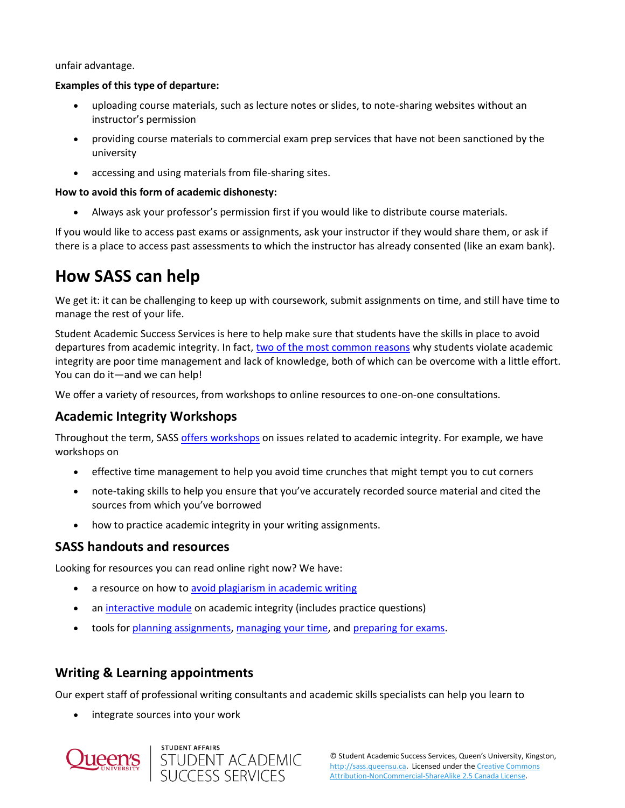unfair advantage.

#### **Examples of this type of departure:**

- uploading course materials, such as lecture notes or slides, to note-sharing websites without an instructor's permission
- providing course materials to commercial exam prep services that have not been sanctioned by the university
- accessing and using materials from file-sharing sites.

### **How to avoid this form of academic dishonesty:**

• Always ask your professor's permission first if you would like to distribute course materials.

If you would like to access past exams or assignments, ask your instructor if they would share them, or ask if there is a place to access past assessments to which the instructor has already consented (like an exam bank).

## **How SASS can help**

We get it: it can be challenging to keep up with coursework, submit assignments on time, and still have time to manage the rest of your life.

Student Academic Success Services is here to help make sure that students have the skills in place to avoid departures from academic integrity. In fact, [two of the most common reasons](http://www.queensu.ca/academicintegrity/students/understanding-academic-integrity/interesting-facts-ii) why students violate academic integrity are poor time management and lack of knowledge, both of which can be overcome with a little effort. You can do it—and we can help!

We offer a variety of resources, from workshops to online resources to one-on-one consultations.

### **Academic Integrity Workshops**

Throughout the term, SAS[S offers workshops](http://sass.queensu.ca/events/) on issues related to academic integrity. For example, we have workshops on

- effective time management to help you avoid time crunches that might tempt you to cut corners
- note-taking skills to help you ensure that you've accurately recorded source material and cited the sources from which you've borrowed
- how to practice academic integrity in your writing assignments.

### **SASS handouts and resources**

Looking for resources you can read online right now? We have:

- a resource on how to [avoid plagiarism in academic writing](http://sass.queensu.ca/onlineresource/topics/avoiding-plagiarism/)
- a[n interactive module](https://sass.queensu.ca/courses/academic-integrity/#/lessons/Fhst4wWliC83eIbGRqCG0BzMwiGrNRmP) on academic integrity (includes practice questions)
- tools for [planning assignments,](http://sass.queensu.ca/assignment-planner/) [managing your time,](http://sass.queensu.ca/time-management/#sched) and [preparing for exams.](http://sass.queensu.ca/exams/)

### **Writing & Learning appointments**

Our expert staff of professional writing consultants and academic skills specialists can help you learn to

integrate sources into your work



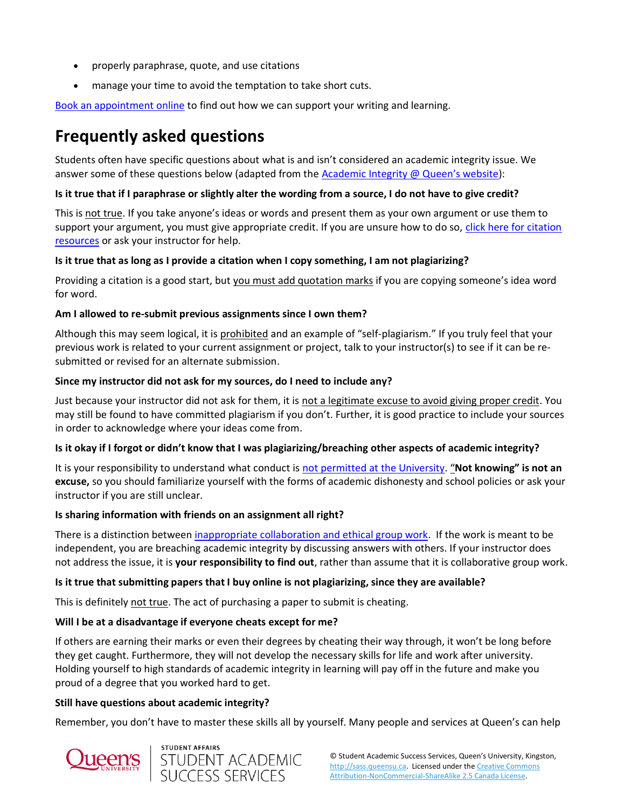- properly paraphrase, quote, and use citations
- manage your time to avoid the temptation to take short cuts.

[Book an appointment online](https://queensu.mywconline.com/) to find out how we can support your writing and learning.

## **Frequently asked questions**

Students often have specific questions about what is and isn't considered an academic integrity issue. We answer some of these questions below (adapted from the [Academic Integrity @ Queen's website](http://www.queensu.ca/academicintegrity/students/avoiding-plagiarismcheating/common-misconceptions)):

#### **Is it true that if I paraphrase or slightly alter the wording from a source, I do not have to give credit?**

This is not true. If you take anyone's ideas or words and present them as your own argument or use them to support your argument, you must give appropriate credit. If you are unsure how to do so, click here for citation [resources](https://www.library.queensu.ca/help-services/citing-citation-management) or ask your instructor for help.

#### **Is it true that as long as I provide a citation when I copy something, I am not plagiarizing?**

Providing a citation is a good start, but you must add quotation marks if you are copying someone's idea word for word.

#### **Am I allowed to re-submit previous assignments since I own them?**

Although this may seem logical, it is prohibited and an example of "self-plagiarism." If you truly feel that your previous work is related to your current assignment or project, talk to your instructor(s) to see if it can be resubmitted or revised for an alternate submission.

#### **Since my instructor did not ask for my sources, do I need to include any?**

Just because your instructor did not ask for them, it is not a legitimate excuse to avoid giving proper credit. You may still be found to have committed plagiarism if you don't. Further, it is good practice to include your sources in order to acknowledge where your ideas come from.

### **Is it okay if I forgot or didn't know that I was plagiarizing/breaching other aspects of academic integrity?**

It is your responsibility to understand what conduct is [not permitted at the University.](http://www.queensu.ca/academicintegrity/students/understanding-academic-integrity/forms-violations) "**Not knowing" is not an excuse,** so you should familiarize yourself with the forms of academic dishonesty and school policies or ask your instructor if you are still unclear.

### **Is sharing information with friends on an assignment all right?**

There is a distinction between [inappropriate collaboration and ethical group work.](http://www.queensu.ca/academicintegrity/students/avoiding-plagiarismcheating/collaborate-integrity) If the work is meant to be independent, you are breaching academic integrity by discussing answers with others. If your instructor does not address the issue, it is **your responsibility to find out**, rather than assume that it is collaborative group work.

### **Is it true that submitting papers that I buy online is not plagiarizing, since they are available?**

This is definitely not true. The act of purchasing a paper to submit is cheating.

### **Will I be at a disadvantage if everyone cheats except for me?**

If others are earning their marks or even their degrees by cheating their way through, it won't be long before they get caught. Furthermore, they will not develop the necessary skills for life and work after university. Holding yourself to high standards of academic integrity in learning will pay off in the future and make you proud of a degree that you worked hard to get.

#### **Still have questions about academic integrity?**

Remember, you don't have to master these skills all by yourself. Many people and services at Queen's can help